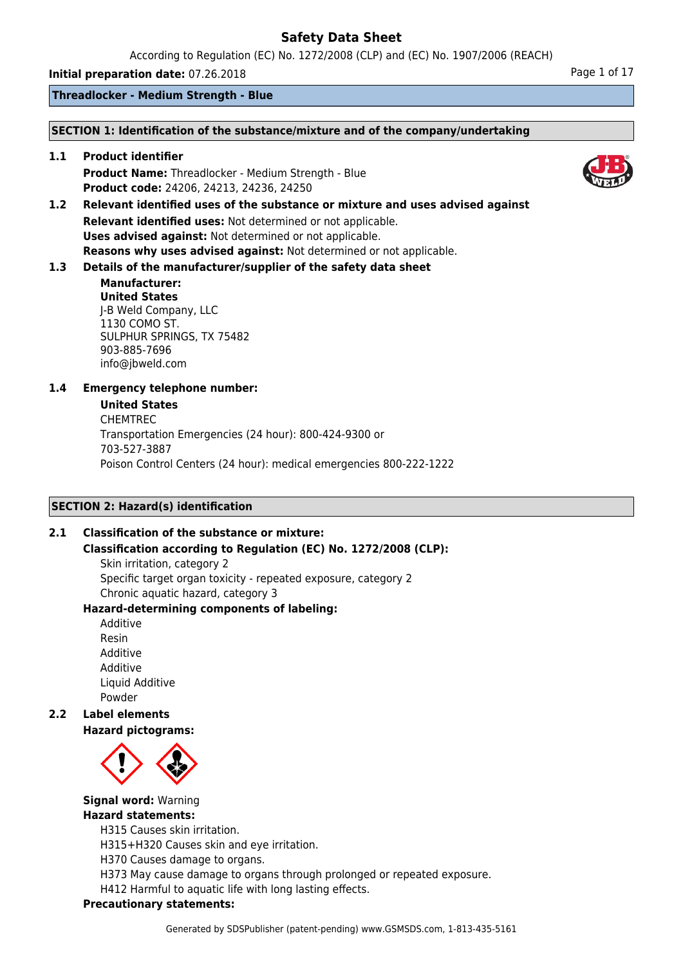According to Regulation (EC) No. 1272/2008 (CLP) and (EC) No. 1907/2006 (REACH)

**Initial preparation date:** 07.26.2018 **Page 1 of 17** Page 1 of 17

**Threadlocker - Medium Strength - Blue**

## **SECTION 1: Identification of the substance/mixture and of the company/undertaking**

**1.1 Product identifier Product Name:** Threadlocker - Medium Strength - Blue **Product code:** 24206, 24213, 24236, 24250

**1.2 Relevant identified uses of the substance or mixture and uses advised against Relevant identified uses:** Not determined or not applicable. **Uses advised against:** Not determined or not applicable. **Reasons why uses advised against:** Not determined or not applicable.

## **1.3 Details of the manufacturer/supplier of the safety data sheet**

#### **Manufacturer: United States** J-B Weld Company, LLC 1130 COMO ST. SULPHUR SPRINGS, TX 75482 903-885-7696 info@jbweld.com

## **1.4 Emergency telephone number:**

## **United States**

CHEMTREC Transportation Emergencies (24 hour): 800-424-9300 or 703-527-3887 Poison Control Centers (24 hour): medical emergencies 800-222-1222

## **SECTION 2: Hazard(s) identification**

## **2.1 Classification of the substance or mixture:**

## **Classification according to Regulation (EC) No. 1272/2008 (CLP):**

Skin irritation, category 2 Specific target organ toxicity - repeated exposure, category 2 Chronic aquatic hazard, category 3

## **Hazard-determining components of labeling:**

Additive Resin Additive Additive Liquid Additive Powder

**2.2 Label elements**

**Hazard pictograms:**



**Signal word:** Warning

## **Hazard statements:**

H315 Causes skin irritation.

H315+H320 Causes skin and eye irritation.

H370 Causes damage to organs.

H373 May cause damage to organs through prolonged or repeated exposure.

H412 Harmful to aquatic life with long lasting effects.

## **Precautionary statements:**

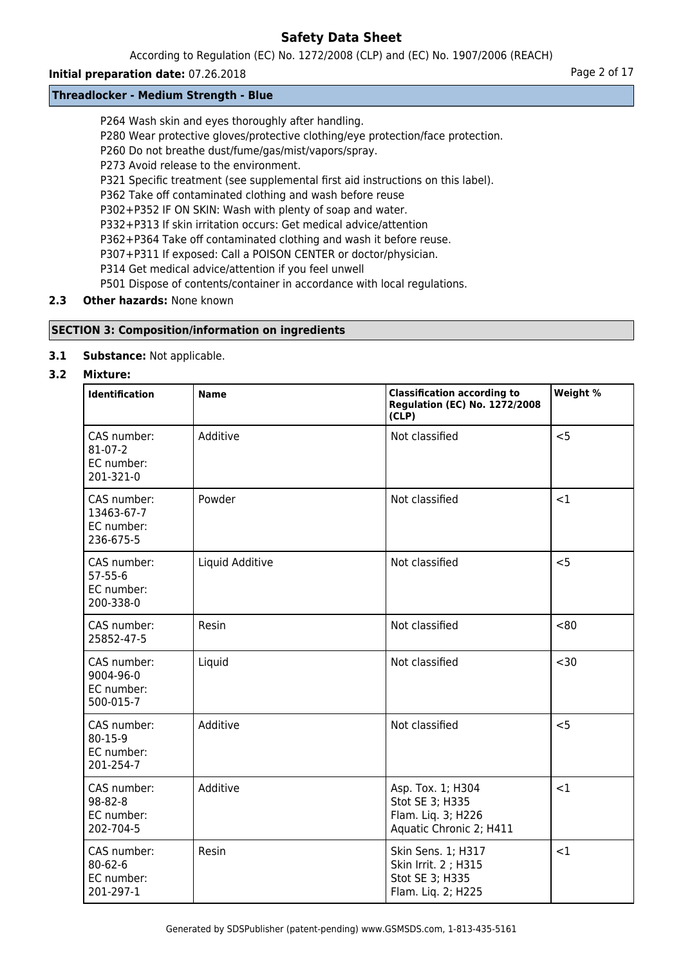According to Regulation (EC) No. 1272/2008 (CLP) and (EC) No. 1907/2006 (REACH)

## **Initial preparation date:** 07.26.2018 **Page 2 of 17** Page 2 of 17

## **Threadlocker - Medium Strength - Blue**

P264 Wash skin and eyes thoroughly after handling.

- P280 Wear protective gloves/protective clothing/eye protection/face protection.
- P260 Do not breathe dust/fume/gas/mist/vapors/spray.
- P273 Avoid release to the environment.
- P321 Specific treatment (see supplemental first aid instructions on this label).
- P362 Take off contaminated clothing and wash before reuse
- P302+P352 IF ON SKIN: Wash with plenty of soap and water.
- P332+P313 If skin irritation occurs: Get medical advice/attention
- P362+P364 Take off contaminated clothing and wash it before reuse.
- P307+P311 If exposed: Call a POISON CENTER or doctor/physician.
- P314 Get medical advice/attention if you feel unwell
- P501 Dispose of contents/container in accordance with local regulations.

## **2.3 Other hazards:** None known

## **SECTION 3: Composition/information on ingredients**

**3.1 Substance:** Not applicable.

## **3.2 Mixture:**

| <b>Identification</b>                                   | <b>Name</b>     | <b>Classification according to</b><br><b>Regulation (EC) No. 1272/2008</b><br>(CLP)   | Weight % |
|---------------------------------------------------------|-----------------|---------------------------------------------------------------------------------------|----------|
| CAS number:<br>$81-07-2$<br>EC number:<br>201-321-0     | Additive        | Not classified                                                                        | < 5      |
| CAS number:<br>13463-67-7<br>EC number:<br>236-675-5    | Powder          | Not classified                                                                        | <1       |
| CAS number:<br>$57 - 55 - 6$<br>EC number:<br>200-338-0 | Liquid Additive | Not classified                                                                        | < 5      |
| CAS number:<br>25852-47-5                               | Resin           | Not classified                                                                        | <80      |
| CAS number:<br>9004-96-0<br>EC number:<br>500-015-7     | Liquid          | Not classified                                                                        | $30$     |
| CAS number:<br>$80 - 15 - 9$<br>EC number:<br>201-254-7 | Additive        | Not classified                                                                        | < 5      |
| CAS number:<br>$98 - 82 - 8$<br>EC number:<br>202-704-5 | Additive        | Asp. Tox. 1; H304<br>Stot SE 3; H335<br>Flam. Liq. 3; H226<br>Aquatic Chronic 2; H411 | <1       |
| CAS number:<br>$80 - 62 - 6$<br>EC number:<br>201-297-1 | Resin           | Skin Sens. 1; H317<br>Skin Irrit. 2 ; H315<br>Stot SE 3; H335<br>Flam. Liq. 2; H225   | <1       |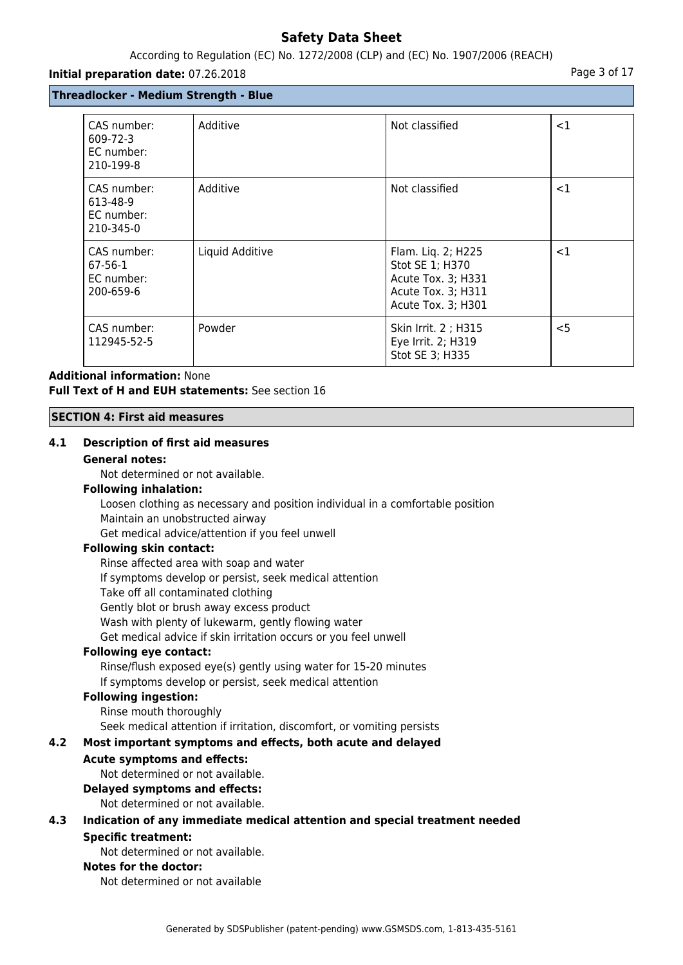## According to Regulation (EC) No. 1272/2008 (CLP) and (EC) No. 1907/2006 (REACH)

#### **Initial preparation date:** 07.26.2018 **Page 3 of 17 Page 3 of 17**

## **Threadlocker - Medium Strength - Blue**

| CAS number:<br>609-72-3<br>EC number:<br>210-199-8  | Additive        | Not classified                                                                                          | $<$ 1  |
|-----------------------------------------------------|-----------------|---------------------------------------------------------------------------------------------------------|--------|
| CAS number:<br>613-48-9<br>EC number:<br>210-345-0  | Additive        | Not classified                                                                                          | ${<}1$ |
| CAS number:<br>$67-56-1$<br>EC number:<br>200-659-6 | Liquid Additive | Flam. Liq. 2; H225<br>Stot SE 1; H370<br>Acute Tox. 3; H331<br>Acute Tox. 3; H311<br>Acute Tox. 3; H301 | ${<}1$ |
| CAS number:<br>112945-52-5                          | Powder          | Skin Irrit. 2 ; H315<br>Eye Irrit. 2; H319<br>Stot SE 3; H335                                           | $<$ 5  |

## **Additional information:** None **Full Text of H and EUH statements:** See section 16

#### **SECTION 4: First aid measures**

## **4.1 Description of first aid measures**

#### **General notes:**

Not determined or not available.

## **Following inhalation:**

Loosen clothing as necessary and position individual in a comfortable position Maintain an unobstructed airway

Get medical advice/attention if you feel unwell

#### **Following skin contact:**

Rinse affected area with soap and water If symptoms develop or persist, seek medical attention Take off all contaminated clothing Gently blot or brush away excess product Wash with plenty of lukewarm, gently flowing water Get medical advice if skin irritation occurs or you feel unwell

## **Following eye contact:**

Rinse/flush exposed eye(s) gently using water for 15-20 minutes If symptoms develop or persist, seek medical attention

#### **Following ingestion:**

Rinse mouth thoroughly Seek medical attention if irritation, discomfort, or vomiting persists

## **4.2 Most important symptoms and effects, both acute and delayed**

## **Acute symptoms and effects:**

Not determined or not available.

## **Delayed symptoms and effects:**

Not determined or not available.

## **4.3 Indication of any immediate medical attention and special treatment needed Specific treatment:**

Not determined or not available.

#### **Notes for the doctor:**

Not determined or not available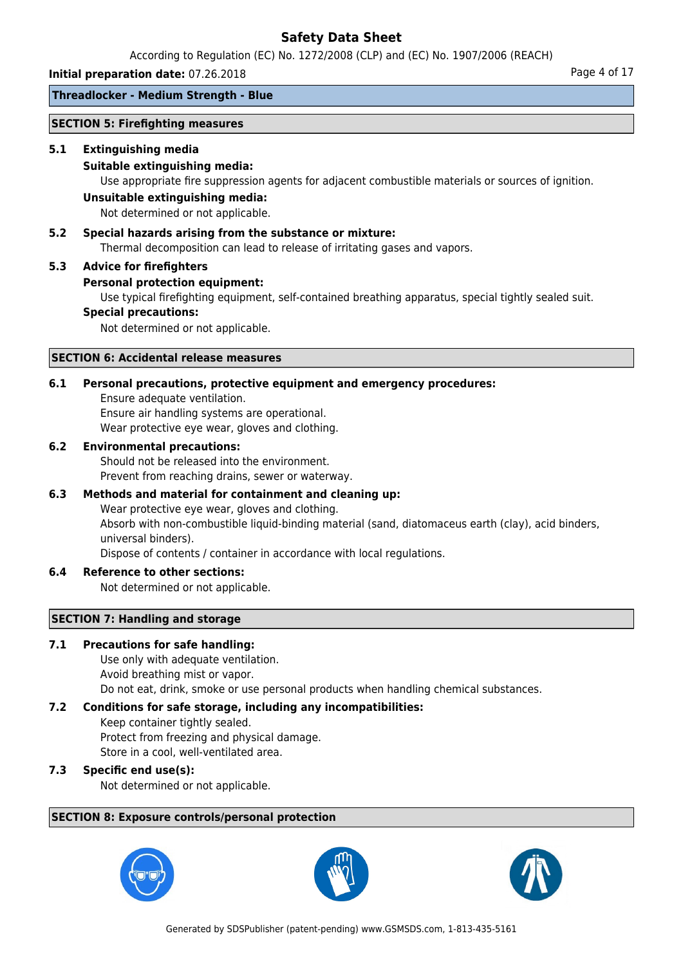According to Regulation (EC) No. 1272/2008 (CLP) and (EC) No. 1907/2006 (REACH)

**Initial preparation date:** 07.26.2018 **Page 1 of 17 Page 4 of 17 Page 4 of 17** 

## **Threadlocker - Medium Strength - Blue**

### **SECTION 5: Firefighting measures**

### **5.1 Extinguishing media**

### **Suitable extinguishing media:**

Use appropriate fire suppression agents for adjacent combustible materials or sources of ignition.

#### **Unsuitable extinguishing media:**

Not determined or not applicable.

## **5.2 Special hazards arising from the substance or mixture:**

Thermal decomposition can lead to release of irritating gases and vapors.

#### **5.3 Advice for firefighters**

#### **Personal protection equipment:**

Use typical firefighting equipment, self-contained breathing apparatus, special tightly sealed suit.

#### **Special precautions:**

Not determined or not applicable.

## **SECTION 6: Accidental release measures**

## **6.1 Personal precautions, protective equipment and emergency procedures:**

Ensure adequate ventilation.

Ensure air handling systems are operational.

Wear protective eye wear, gloves and clothing.

## **6.2 Environmental precautions:**

Should not be released into the environment. Prevent from reaching drains, sewer or waterway.

## **6.3 Methods and material for containment and cleaning up:**

Wear protective eye wear, gloves and clothing. Absorb with non-combustible liquid-binding material (sand, diatomaceus earth (clay), acid binders, universal binders). Dispose of contents / container in accordance with local regulations.

## **6.4 Reference to other sections:**

Not determined or not applicable.

## **SECTION 7: Handling and storage**

## **7.1 Precautions for safe handling:**

Use only with adequate ventilation. Avoid breathing mist or vapor. Do not eat, drink, smoke or use personal products when handling chemical substances.

## **7.2 Conditions for safe storage, including any incompatibilities:**

Keep container tightly sealed. Protect from freezing and physical damage. Store in a cool, well-ventilated area.

## **7.3 Specific end use(s):**

Not determined or not applicable.

## **SECTION 8: Exposure controls/personal protection**





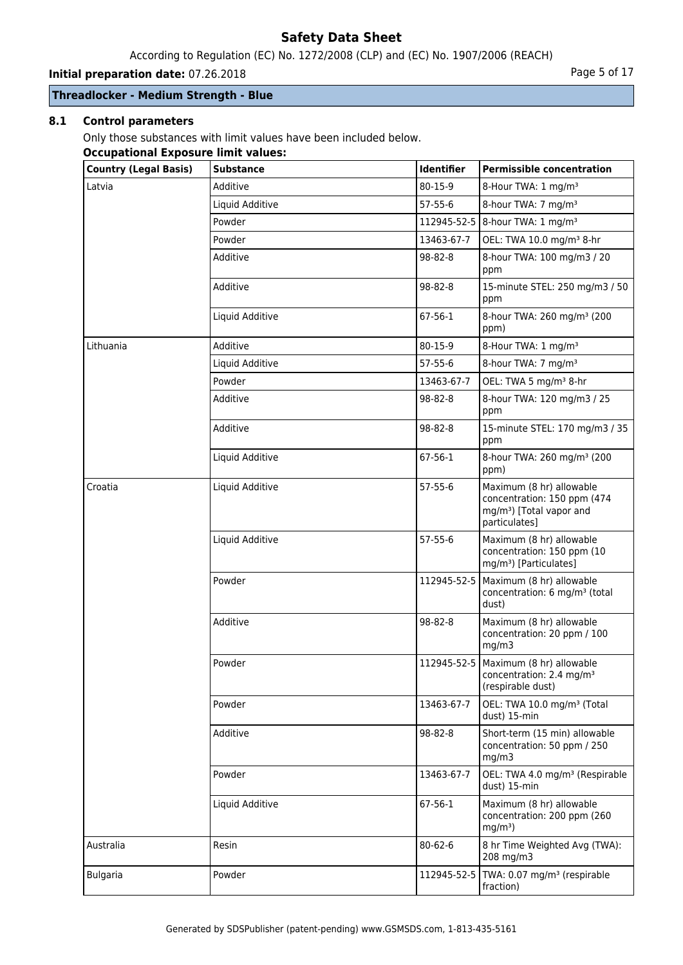According to Regulation (EC) No. 1272/2008 (CLP) and (EC) No. 1907/2006 (REACH)

**Initial preparation date:** 07.26.2018 **Page 1 and 2018** Page 5 of 17

## **Threadlocker - Medium Strength - Blue**

## **8.1 Control parameters**

Only those substances with limit values have been included below.

#### **Occupational Exposure limit values:**

| <b>Country (Legal Basis)</b> | <b>Substance</b> | Identifier    | <b>Permissible concentration</b>                                                                                 |
|------------------------------|------------------|---------------|------------------------------------------------------------------------------------------------------------------|
| Latvia                       | Additive         | 80-15-9       | 8-Hour TWA: 1 mg/m <sup>3</sup>                                                                                  |
|                              | Liquid Additive  | $57 - 55 - 6$ | 8-hour TWA: 7 mg/m <sup>3</sup>                                                                                  |
|                              | Powder           |               | 112945-52-5   8-hour TWA: 1 mg/m <sup>3</sup>                                                                    |
|                              | Powder           | 13463-67-7    | OEL: TWA 10.0 mg/m <sup>3</sup> 8-hr                                                                             |
|                              | Additive         | 98-82-8       | 8-hour TWA: 100 mg/m3 / 20<br>ppm                                                                                |
|                              | Additive         | 98-82-8       | 15-minute STEL: 250 mg/m3 / 50<br>ppm                                                                            |
|                              | Liquid Additive  | $67 - 56 - 1$ | 8-hour TWA: 260 mg/m <sup>3</sup> (200<br>ppm)                                                                   |
| Lithuania                    | Additive         | 80-15-9       | 8-Hour TWA: 1 mg/m <sup>3</sup>                                                                                  |
|                              | Liquid Additive  | $57 - 55 - 6$ | 8-hour TWA: 7 mg/m <sup>3</sup>                                                                                  |
|                              | Powder           | 13463-67-7    | OEL: TWA 5 mg/m <sup>3</sup> 8-hr                                                                                |
|                              | Additive         | 98-82-8       | 8-hour TWA: 120 mg/m3 / 25<br>ppm                                                                                |
|                              | Additive         | 98-82-8       | 15-minute STEL: 170 mg/m3 / 35<br>ppm                                                                            |
|                              | Liquid Additive  | $67 - 56 - 1$ | 8-hour TWA: 260 mg/m <sup>3</sup> (200<br>ppm)                                                                   |
| Croatia                      | Liquid Additive  | $57 - 55 - 6$ | Maximum (8 hr) allowable<br>concentration: 150 ppm (474<br>mg/m <sup>3</sup> ) [Total vapor and<br>particulates] |
|                              | Liquid Additive  | $57 - 55 - 6$ | Maximum (8 hr) allowable<br>concentration: 150 ppm (10<br>mg/m <sup>3</sup> ) [Particulates]                     |
|                              | Powder           |               | 112945-52-5   Maximum (8 hr) allowable<br>concentration: 6 mg/m <sup>3</sup> (total<br>dust)                     |
|                              | Additive         | 98-82-8       | Maximum (8 hr) allowable<br>concentration: 20 ppm / 100<br>mg/m3                                                 |
|                              | Powder           |               | 112945-52-5   Maximum (8 hr) allowable<br>concentration: 2.4 mg/m <sup>3</sup><br>(respirable dust)              |
|                              | Powder           | 13463-67-7    | OEL: TWA 10.0 mg/m <sup>3</sup> (Total<br>dust) 15-min                                                           |
|                              | Additive         | 98-82-8       | Short-term (15 min) allowable<br>concentration: 50 ppm / 250<br>mg/m3                                            |
|                              | Powder           | 13463-67-7    | OEL: TWA 4.0 mg/m <sup>3</sup> (Respirable<br>dust) 15-min                                                       |
|                              | Liquid Additive  | 67-56-1       | Maximum (8 hr) allowable<br>concentration: 200 ppm (260<br>$mg/m3$ )                                             |
| Australia                    | Resin            | 80-62-6       | 8 hr Time Weighted Avg (TWA):<br>208 mg/m3                                                                       |
| <b>Bulgaria</b>              | Powder           | 112945-52-5   | TWA: 0.07 mg/m <sup>3</sup> (respirable<br>fraction)                                                             |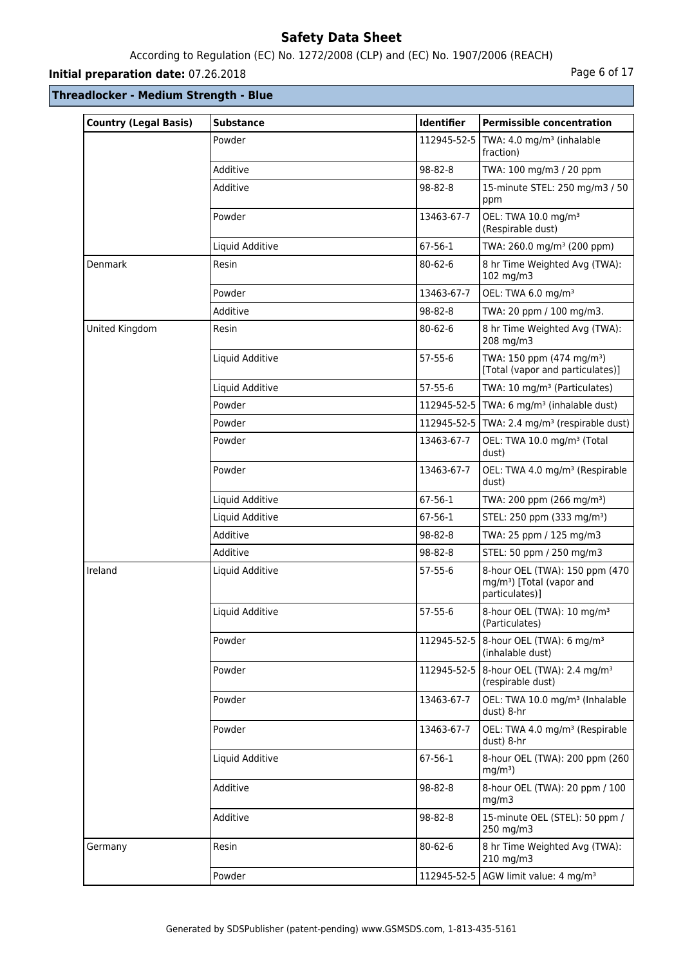## According to Regulation (EC) No. 1272/2008 (CLP) and (EC) No. 1907/2006 (REACH)

## **Initial preparation date:** 07.26.2018 **Page 6 of 17**

| <b>Country (Legal Basis)</b> | <b>Substance</b> | Identifier    | <b>Permissible concentration</b>                                                          |
|------------------------------|------------------|---------------|-------------------------------------------------------------------------------------------|
|                              | Powder           |               | 112945-52-5   TWA: 4.0 mg/m <sup>3</sup> (inhalable<br>fraction)                          |
|                              | Additive         | 98-82-8       | TWA: 100 mg/m3 / 20 ppm                                                                   |
|                              | Additive         | 98-82-8       | 15-minute STEL: 250 mg/m3 / 50<br>ppm                                                     |
|                              | Powder           | 13463-67-7    | OEL: TWA 10.0 mg/m <sup>3</sup><br>(Respirable dust)                                      |
|                              | Liquid Additive  | 67-56-1       | TWA: 260.0 mg/m <sup>3</sup> (200 ppm)                                                    |
| <b>Denmark</b>               | Resin            | $80 - 62 - 6$ | 8 hr Time Weighted Avg (TWA):<br>102 mg/m3                                                |
|                              | Powder           | 13463-67-7    | OEL: TWA 6.0 mg/m <sup>3</sup>                                                            |
|                              | Additive         | 98-82-8       | TWA: 20 ppm / 100 mg/m3.                                                                  |
| United Kingdom               | Resin            | 80-62-6       | 8 hr Time Weighted Avg (TWA):<br>208 mg/m3                                                |
|                              | Liquid Additive  | $57 - 55 - 6$ | TWA: 150 ppm (474 mg/m <sup>3</sup> )<br>[Total (vapor and particulates)]                 |
|                              | Liquid Additive  | $57 - 55 - 6$ | TWA: 10 mg/m <sup>3</sup> (Particulates)                                                  |
|                              | Powder           |               | 112945-52-5   TWA: 6 mg/m <sup>3</sup> (inhalable dust)                                   |
|                              | Powder           |               | 112945-52-5   TWA: 2.4 mg/m <sup>3</sup> (respirable dust)                                |
|                              | Powder           | 13463-67-7    | OEL: TWA 10.0 mg/m <sup>3</sup> (Total<br>dust)                                           |
|                              | Powder           | 13463-67-7    | OEL: TWA 4.0 mg/m <sup>3</sup> (Respirable<br>dust)                                       |
|                              | Liquid Additive  | 67-56-1       | TWA: 200 ppm (266 mg/m <sup>3</sup> )                                                     |
|                              | Liquid Additive  | 67-56-1       | STEL: 250 ppm (333 mg/m <sup>3</sup> )                                                    |
|                              | Additive         | 98-82-8       | TWA: 25 ppm / 125 mg/m3                                                                   |
|                              | Additive         | 98-82-8       | STEL: 50 ppm / 250 mg/m3                                                                  |
| Ireland                      | Liquid Additive  | $57-55-6$     | 8-hour OEL (TWA): 150 ppm (470<br>mg/m <sup>3</sup> ) [Total (vapor and<br>particulates)] |
|                              | Liquid Additive  | $57 - 55 - 6$ | 8-hour OEL (TWA): 10 mg/m <sup>3</sup><br>(Particulates)                                  |
|                              | Powder           |               | 112945-52-5   8-hour OEL (TWA): 6 mg/m <sup>3</sup><br>(inhalable dust)                   |
|                              | Powder           |               | 112945-52-5   8-hour OEL (TWA): 2.4 mg/m <sup>3</sup><br>(respirable dust)                |
|                              | Powder           | 13463-67-7    | OEL: TWA 10.0 mg/m <sup>3</sup> (Inhalable<br>dust) 8-hr                                  |
|                              | Powder           | 13463-67-7    | OEL: TWA 4.0 mg/m <sup>3</sup> (Respirable<br>dust) 8-hr                                  |
|                              | Liquid Additive  | 67-56-1       | 8-hour OEL (TWA): 200 ppm (260<br>$mg/m3$ )                                               |
|                              | Additive         | 98-82-8       | 8-hour OEL (TWA): 20 ppm / 100<br>mg/m3                                                   |
|                              | Additive         | 98-82-8       | 15-minute OEL (STEL): 50 ppm /<br>250 mg/m3                                               |
| Germany                      | Resin            | $80 - 62 - 6$ | 8 hr Time Weighted Avg (TWA):<br>210 mg/m3                                                |
|                              | Powder           |               | 112945-52-5 AGW limit value: 4 mg/m <sup>3</sup>                                          |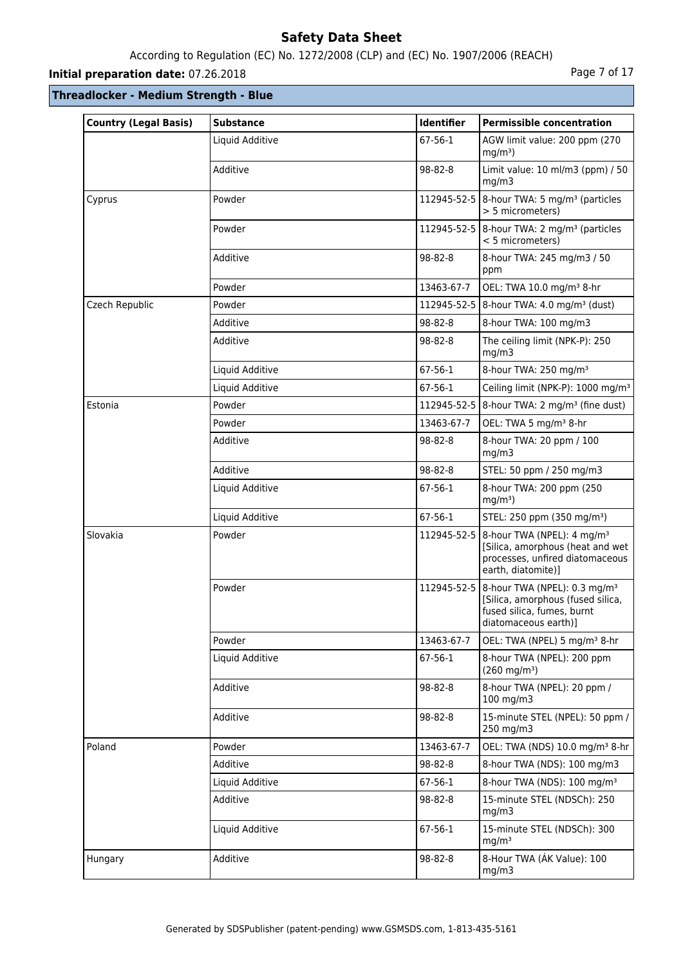## According to Regulation (EC) No. 1272/2008 (CLP) and (EC) No. 1907/2006 (REACH)

## **Initial preparation date:** 07.26.2018 **Page 7 of 17**

| <b>Country (Legal Basis)</b> | <b>Substance</b> | <b>Identifier</b> | <b>Permissible concentration</b>                                                                                                                  |
|------------------------------|------------------|-------------------|---------------------------------------------------------------------------------------------------------------------------------------------------|
|                              | Liquid Additive  | $67 - 56 - 1$     | AGW limit value: 200 ppm (270<br>$mg/m3$ )                                                                                                        |
|                              | Additive         | 98-82-8           | Limit value: 10 ml/m3 (ppm) / 50<br>mg/m3                                                                                                         |
| Cyprus                       | Powder           |                   | 112945-52-5   8-hour TWA: 5 mg/m <sup>3</sup> (particles<br>> 5 micrometers)                                                                      |
|                              | Powder           |                   | 112945-52-5   8-hour TWA: 2 mg/m <sup>3</sup> (particles<br>< 5 micrometers)                                                                      |
|                              | Additive         | 98-82-8           | 8-hour TWA: 245 mg/m3 / 50<br>ppm                                                                                                                 |
|                              | Powder           | 13463-67-7        | OEL: TWA 10.0 mg/m <sup>3</sup> 8-hr                                                                                                              |
| Czech Republic               | Powder           | 112945-52-5       | $8$ -hour TWA: 4.0 mg/m <sup>3</sup> (dust)                                                                                                       |
|                              | Additive         | 98-82-8           | 8-hour TWA: 100 mg/m3                                                                                                                             |
|                              | Additive         | 98-82-8           | The ceiling limit (NPK-P): 250<br>mg/m3                                                                                                           |
|                              | Liquid Additive  | 67-56-1           | 8-hour TWA: 250 mg/m <sup>3</sup>                                                                                                                 |
|                              | Liquid Additive  | 67-56-1           | Ceiling limit (NPK-P): 1000 mg/m <sup>3</sup>                                                                                                     |
| Estonia                      | Powder           |                   | 112945-52-5   8-hour TWA: 2 mg/m <sup>3</sup> (fine dust)                                                                                         |
|                              | Powder           | 13463-67-7        | OEL: TWA 5 mg/m <sup>3</sup> 8-hr                                                                                                                 |
|                              | Additive         | 98-82-8           | 8-hour TWA: 20 ppm / 100<br>mg/m3                                                                                                                 |
|                              | Additive         | 98-82-8           | STEL: 50 ppm / 250 mg/m3                                                                                                                          |
|                              | Liquid Additive  | 67-56-1           | 8-hour TWA: 200 ppm (250<br>$mg/m3$ )                                                                                                             |
|                              | Liquid Additive  | 67-56-1           | STEL: 250 ppm (350 mg/m <sup>3</sup> )                                                                                                            |
| Slovakia                     | Powder           |                   | 112945-52-5   8-hour TWA (NPEL): 4 mg/m <sup>3</sup><br>[Silica, amorphous (heat and wet<br>processes, unfired diatomaceous<br>earth, diatomite)] |
|                              | Powder           |                   | 112945-52-5   8-hour TWA (NPEL): 0.3 mg/m <sup>3</sup><br>[Silica, amorphous (fused silica,<br>fused silica, fumes, burnt<br>diatomaceous earth)] |
|                              | Powder           | 13463-67-7        | OEL: TWA (NPEL) 5 mg/m <sup>3</sup> 8-hr                                                                                                          |
|                              | Liquid Additive  | 67-56-1           | 8-hour TWA (NPEL): 200 ppm<br>$(260 \text{ mg/m}^3)$                                                                                              |
|                              | Additive         | 98-82-8           | 8-hour TWA (NPEL): 20 ppm /<br>100 mg/m3                                                                                                          |
|                              | Additive         | 98-82-8           | 15-minute STEL (NPEL): 50 ppm /<br>250 mg/m3                                                                                                      |
| Poland                       | Powder           | 13463-67-7        | OEL: TWA (NDS) 10.0 mg/m <sup>3</sup> 8-hr                                                                                                        |
|                              | Additive         | 98-82-8           | 8-hour TWA (NDS): 100 mg/m3                                                                                                                       |
|                              | Liquid Additive  | 67-56-1           | 8-hour TWA (NDS): 100 mg/m <sup>3</sup>                                                                                                           |
|                              | Additive         | 98-82-8           | 15-minute STEL (NDSCh): 250<br>mg/m3                                                                                                              |
|                              | Liquid Additive  | 67-56-1           | 15-minute STEL (NDSCh): 300<br>mg/m <sup>3</sup>                                                                                                  |
| Hungary                      | Additive         | 98-82-8           | 8-Hour TWA (ÁK Value): 100<br>mg/m3                                                                                                               |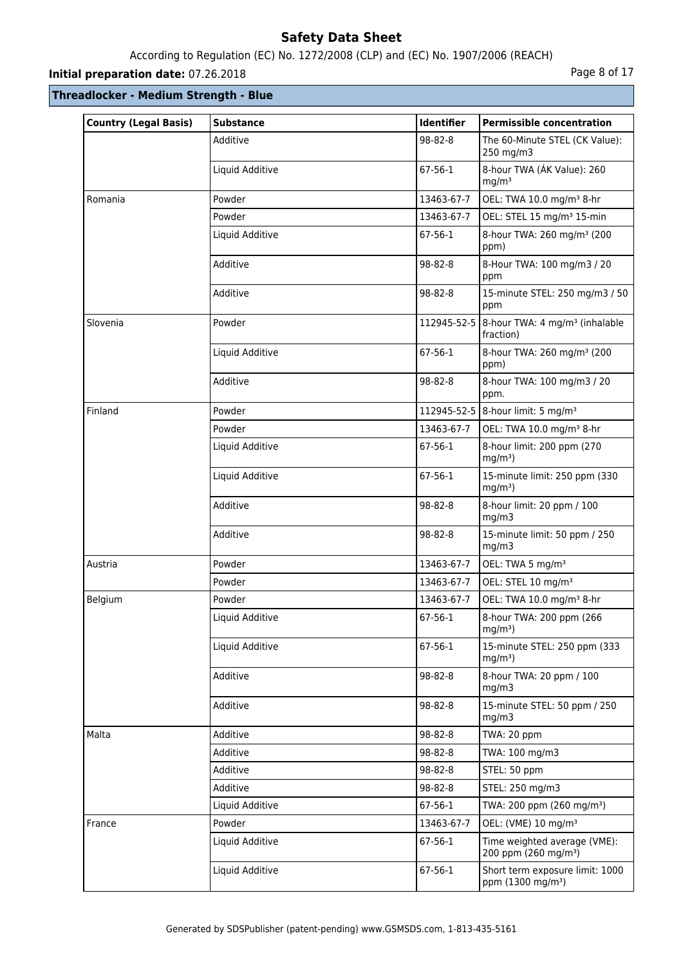## According to Regulation (EC) No. 1272/2008 (CLP) and (EC) No. 1907/2006 (REACH)

## **Initial preparation date:** 07.26.2018 **Page 8 of 17**

| <b>Country (Legal Basis)</b> | <b>Substance</b> | <b>Identifier</b> | <b>Permissible concentration</b>                                 |
|------------------------------|------------------|-------------------|------------------------------------------------------------------|
|                              | Additive         | 98-82-8           | The 60-Minute STEL (CK Value):<br>250 mg/m3                      |
|                              | Liquid Additive  | $67 - 56 - 1$     | 8-hour TWA (ÁK Value): 260<br>mg/m <sup>3</sup>                  |
| Romania                      | Powder           | 13463-67-7        | OEL: TWA 10.0 mg/m <sup>3</sup> 8-hr                             |
|                              | Powder           | 13463-67-7        | OEL: STEL 15 mg/m <sup>3</sup> 15-min                            |
|                              | Liquid Additive  | $67 - 56 - 1$     | 8-hour TWA: 260 mg/m <sup>3</sup> (200<br>ppm)                   |
|                              | Additive         | 98-82-8           | 8-Hour TWA: 100 mg/m3 / 20<br>ppm                                |
|                              | Additive         | 98-82-8           | 15-minute STEL: 250 mg/m3 / 50<br>ppm                            |
| Slovenia                     | Powder           | 112945-52-5       | 8-hour TWA: 4 mg/m <sup>3</sup> (inhalable<br>fraction)          |
|                              | Liquid Additive  | 67-56-1           | 8-hour TWA: 260 mg/m <sup>3</sup> (200<br>ppm)                   |
|                              | Additive         | 98-82-8           | 8-hour TWA: 100 mg/m3 / 20<br>ppm.                               |
| Finland                      | Powder           |                   | 112945-52-5   8-hour limit: 5 mg/m <sup>3</sup>                  |
|                              | Powder           | 13463-67-7        | OEL: TWA 10.0 mg/m <sup>3</sup> 8-hr                             |
|                              | Liquid Additive  | 67-56-1           | 8-hour limit: 200 ppm (270<br>$mg/m3$ )                          |
|                              | Liquid Additive  | 67-56-1           | 15-minute limit: 250 ppm (330<br>$mg/m3$ )                       |
|                              | Additive         | 98-82-8           | 8-hour limit: 20 ppm / 100<br>mg/m3                              |
|                              | Additive         | 98-82-8           | 15-minute limit: 50 ppm / 250<br>mg/m3                           |
| Austria                      | Powder           | 13463-67-7        | OEL: TWA 5 mg/m <sup>3</sup>                                     |
|                              | Powder           | 13463-67-7        | OEL: STEL 10 mg/m <sup>3</sup>                                   |
| Belgium                      | Powder           | 13463-67-7        | OEL: TWA 10.0 mg/m <sup>3</sup> 8-hr                             |
|                              | Liquid Additive  | 67-56-1           | 8-hour TWA: 200 ppm (266<br>$mg/m3$ )                            |
|                              | Liquid Additive  | 67-56-1           | 15-minute STEL: 250 ppm (333<br>$mg/m3$ )                        |
|                              | Additive         | 98-82-8           | 8-hour TWA: 20 ppm / 100<br>mg/m3                                |
|                              | Additive         | 98-82-8           | 15-minute STEL: 50 ppm / 250<br>mg/m3                            |
| Malta                        | Additive         | 98-82-8           | TWA: 20 ppm                                                      |
|                              | Additive         | 98-82-8           | TWA: 100 mg/m3                                                   |
|                              | Additive         | 98-82-8           | STEL: 50 ppm                                                     |
|                              | Additive         | 98-82-8           | STEL: 250 mg/m3                                                  |
|                              | Liquid Additive  | 67-56-1           | TWA: 200 ppm (260 mg/m <sup>3</sup> )                            |
| France                       | Powder           | 13463-67-7        | OEL: (VME) 10 mg/m <sup>3</sup>                                  |
|                              | Liquid Additive  | 67-56-1           | Time weighted average (VME):<br>200 ppm (260 mg/m <sup>3</sup> ) |
|                              | Liquid Additive  | 67-56-1           | Short term exposure limit: 1000<br>ppm (1300 mg/m <sup>3</sup> ) |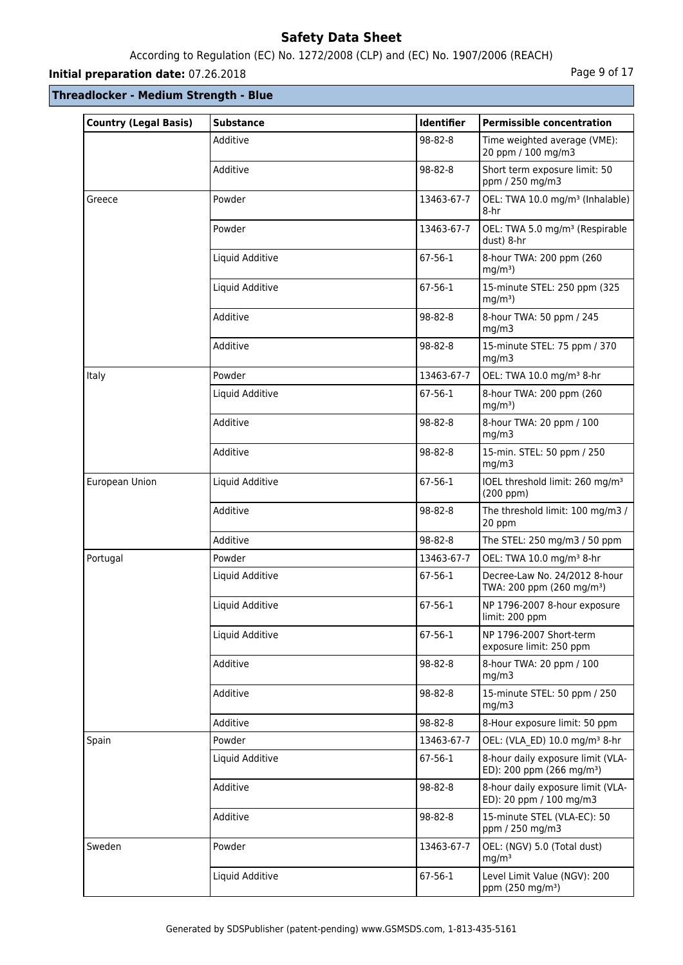## According to Regulation (EC) No. 1272/2008 (CLP) and (EC) No. 1907/2006 (REACH)

## **Initial preparation date:** 07.26.2018 **Page 9 of 17**

| <b>Country (Legal Basis)</b> | <b>Substance</b> | Identifier | <b>Permissible concentration</b>                                           |
|------------------------------|------------------|------------|----------------------------------------------------------------------------|
|                              | Additive         | 98-82-8    | Time weighted average (VME):<br>20 ppm / 100 mg/m3                         |
|                              | Additive         | 98-82-8    | Short term exposure limit: 50<br>ppm / 250 mg/m3                           |
| Greece                       | Powder           | 13463-67-7 | OEL: TWA 10.0 mg/m <sup>3</sup> (Inhalable)<br>8-hr                        |
|                              | Powder           | 13463-67-7 | OEL: TWA 5.0 mg/m <sup>3</sup> (Respirable<br>dust) 8-hr                   |
|                              | Liquid Additive  | 67-56-1    | 8-hour TWA: 200 ppm (260<br>$mg/m3$ )                                      |
|                              | Liquid Additive  | 67-56-1    | 15-minute STEL: 250 ppm (325)<br>$mg/m3$ )                                 |
|                              | Additive         | 98-82-8    | 8-hour TWA: 50 ppm / 245<br>mg/m3                                          |
|                              | Additive         | 98-82-8    | 15-minute STEL: 75 ppm / 370<br>mq/m3                                      |
| Italy                        | Powder           | 13463-67-7 | OEL: TWA 10.0 mg/m <sup>3</sup> 8-hr                                       |
|                              | Liquid Additive  | 67-56-1    | 8-hour TWA: 200 ppm (260<br>$mg/m3$ )                                      |
|                              | Additive         | 98-82-8    | 8-hour TWA: 20 ppm / 100<br>mg/m3                                          |
|                              | Additive         | 98-82-8    | 15-min. STEL: 50 ppm / 250<br>mg/m3                                        |
| European Union               | Liquid Additive  | 67-56-1    | IOEL threshold limit: 260 mg/m <sup>3</sup><br>(200 ppm)                   |
|                              | Additive         | 98-82-8    | The threshold limit: 100 mg/m3 /<br>20 ppm                                 |
|                              | Additive         | 98-82-8    | The STEL: 250 mg/m3 / 50 ppm                                               |
| Portugal                     | Powder           | 13463-67-7 | OEL: TWA 10.0 mg/m <sup>3</sup> 8-hr                                       |
|                              | Liquid Additive  | 67-56-1    | Decree-Law No. 24/2012 8-hour<br>TWA: 200 ppm (260 mg/m <sup>3</sup> )     |
|                              | Liquid Additive  | 67-56-1    | NP 1796-2007 8-hour exposure<br>limit: 200 ppm                             |
|                              | Liquid Additive  | 67-56-1    | NP 1796-2007 Short-term<br>exposure limit: 250 ppm                         |
|                              | Additive         | 98-82-8    | 8-hour TWA: 20 ppm / 100<br>mg/m3                                          |
|                              | Additive         | 98-82-8    | 15-minute STEL: 50 ppm / 250<br>mg/m3                                      |
|                              | Additive         | 98-82-8    | 8-Hour exposure limit: 50 ppm                                              |
| Spain                        | Powder           | 13463-67-7 | OEL: (VLA_ED) 10.0 mg/m <sup>3</sup> 8-hr                                  |
|                              | Liquid Additive  | 67-56-1    | 8-hour daily exposure limit (VLA-<br>ED): 200 ppm (266 mg/m <sup>3</sup> ) |
|                              | Additive         | 98-82-8    | 8-hour daily exposure limit (VLA-<br>ED): 20 ppm / 100 mg/m3               |
|                              | Additive         | 98-82-8    | 15-minute STEL (VLA-EC): 50<br>ppm / 250 mg/m3                             |
| Sweden                       | Powder           | 13463-67-7 | OEL: (NGV) 5.0 (Total dust)<br>mg/m <sup>3</sup>                           |
|                              | Liquid Additive  | 67-56-1    | Level Limit Value (NGV): 200<br>ppm (250 mg/m <sup>3</sup> )               |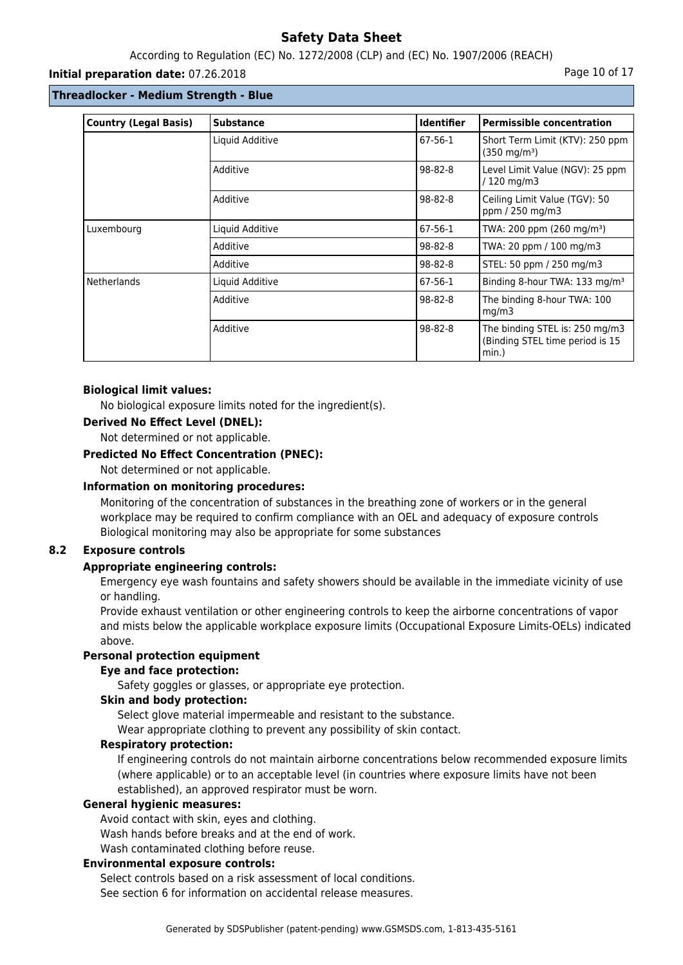## According to Regulation (EC) No. 1272/2008 (CLP) and (EC) No. 1907/2006 (REACH)

#### **Initial preparation date:** 07.26.2018 **Page 10 of 17** Page 10 of 17

## **Threadlocker - Medium Strength - Blue**

| <b>Country (Legal Basis)</b> | <b>Substance</b> | <b>Identifier</b> | <b>Permissible concentration</b>                                           |
|------------------------------|------------------|-------------------|----------------------------------------------------------------------------|
|                              | Liquid Additive  | 67-56-1           | Short Term Limit (KTV): 250 ppm<br>$(350 \text{ mg/m}^3)$                  |
|                              | Additive         | 98-82-8           | Level Limit Value (NGV): 25 ppm<br>/ 120 mg/m3                             |
|                              | Additive         | 98-82-8           | Ceiling Limit Value (TGV): 50<br>ppm / 250 mg/m3                           |
| Luxembourg                   | Liquid Additive  | 67-56-1           | TWA: 200 ppm (260 mg/m <sup>3</sup> )                                      |
|                              | Additive         | 98-82-8           | TWA: 20 ppm / 100 mg/m3                                                    |
|                              | Additive         | 98-82-8           | STEL: 50 ppm / 250 mg/m3                                                   |
| <b>Netherlands</b>           | Liquid Additive  | 67-56-1           | Binding 8-hour TWA: 133 mg/m <sup>3</sup>                                  |
|                              | Additive         | 98-82-8           | The binding 8-hour TWA: 100<br>mq/m3                                       |
|                              | Additive         | $98 - 82 - 8$     | The binding STEL is: 250 mg/m3<br>(Binding STEL time period is 15<br>min.) |

#### **Biological limit values:**

No biological exposure limits noted for the ingredient(s).

#### **Derived No Effect Level (DNEL):**

Not determined or not applicable.

#### **Predicted No Effect Concentration (PNEC):**

Not determined or not applicable.

### **Information on monitoring procedures:**

Monitoring of the concentration of substances in the breathing zone of workers or in the general workplace may be required to confirm compliance with an OEL and adequacy of exposure controls Biological monitoring may also be appropriate for some substances

## **8.2 Exposure controls**

## **Appropriate engineering controls:**

Emergency eye wash fountains and safety showers should be available in the immediate vicinity of use or handling.

Provide exhaust ventilation or other engineering controls to keep the airborne concentrations of vapor and mists below the applicable workplace exposure limits (Occupational Exposure Limits-OELs) indicated above.

#### **Personal protection equipment**

#### **Eye and face protection:**

Safety goggles or glasses, or appropriate eye protection.

### **Skin and body protection:**

Select glove material impermeable and resistant to the substance.

Wear appropriate clothing to prevent any possibility of skin contact.

## **Respiratory protection:**

If engineering controls do not maintain airborne concentrations below recommended exposure limits (where applicable) or to an acceptable level (in countries where exposure limits have not been established), an approved respirator must be worn.

#### **General hygienic measures:**

Avoid contact with skin, eyes and clothing.

Wash hands before breaks and at the end of work.

Wash contaminated clothing before reuse.

#### **Environmental exposure controls:**

Select controls based on a risk assessment of local conditions.

See section 6 for information on accidental release measures.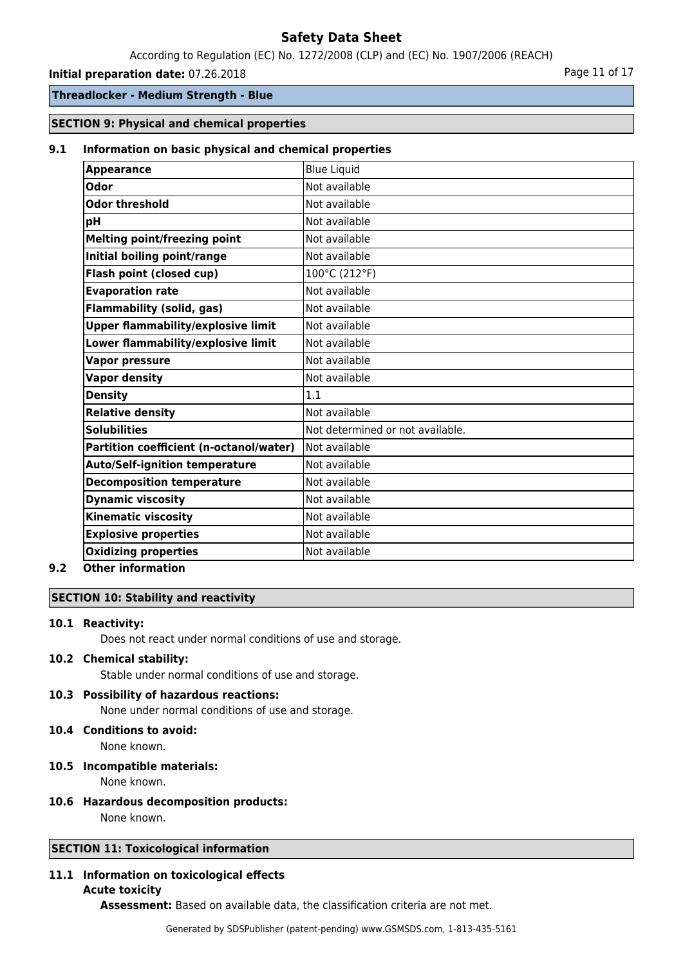According to Regulation (EC) No. 1272/2008 (CLP) and (EC) No. 1907/2006 (REACH)

#### **Initial preparation date:** 07.26.2018 **Page 11 of 17** Page 11 of 17

### **Threadlocker - Medium Strength - Blue**

### **SECTION 9: Physical and chemical properties**

#### **9.1 Information on basic physical and chemical properties**

| <b>Blue Liquid</b>               |
|----------------------------------|
| Not available                    |
|                                  |
| Not available                    |
| Not available                    |
| Not available                    |
| Not available                    |
| 100°C (212°F)                    |
| Not available                    |
| Not available                    |
| Not available                    |
| Not available                    |
| Not available                    |
| Not available                    |
| 1.1                              |
| Not available                    |
| Not determined or not available. |
| Not available                    |
| Not available                    |
| Not available                    |
| Not available                    |
| Not available                    |
| Not available                    |
| Not available                    |
|                                  |

#### **9.2 Other information**

## **SECTION 10: Stability and reactivity**

#### **10.1 Reactivity:**

Does not react under normal conditions of use and storage.

## **10.2 Chemical stability:**

Stable under normal conditions of use and storage.

#### **10.3 Possibility of hazardous reactions:**

None under normal conditions of use and storage.

## **10.4 Conditions to avoid:**

None known.

#### **10.5 Incompatible materials:**

None known.

# **10.6 Hazardous decomposition products:**

None known.

## **SECTION 11: Toxicological information**

#### **11.1 Information on toxicological effects Acute toxicity**

**Assessment:** Based on available data, the classification criteria are not met.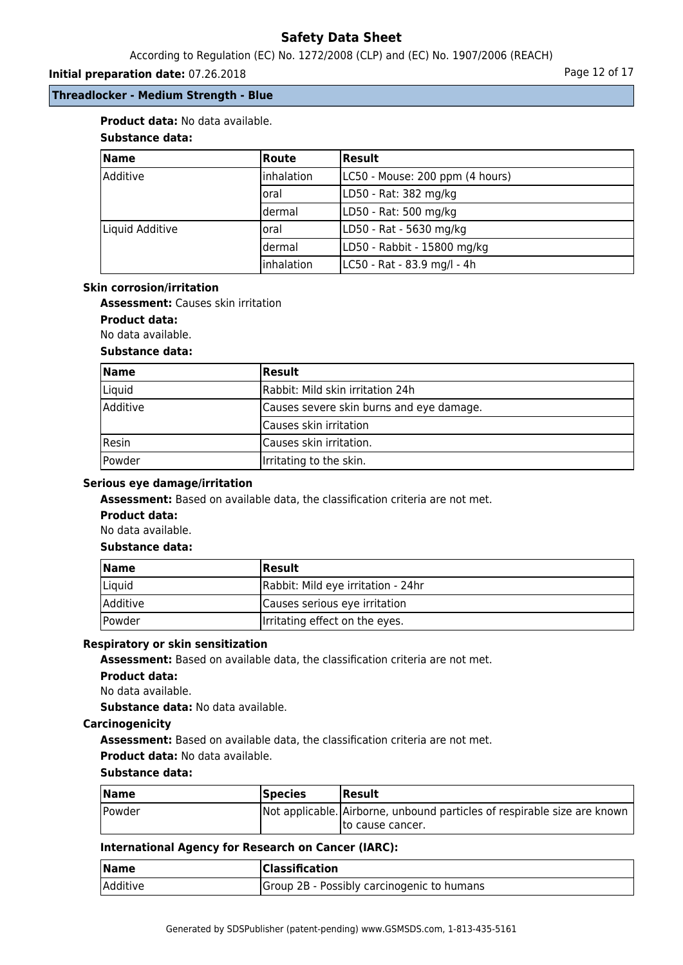According to Regulation (EC) No. 1272/2008 (CLP) and (EC) No. 1907/2006 (REACH)

## **Initial preparation date:** 07.26.2018 **Page 12 of 17** Page 12 of 17

## **Threadlocker - Medium Strength - Blue**

## **Product data:** No data available.

## **Substance data:**

| Name            | Route             | Result                          |
|-----------------|-------------------|---------------------------------|
| lAdditive       | linhalation       | LC50 - Mouse: 200 ppm (4 hours) |
|                 | loral             | LD50 - Rat: 382 mg/kg           |
|                 | dermal            | LD50 - Rat: 500 mg/kg           |
| Liquid Additive | loral             | LD50 - Rat - 5630 mg/kg         |
|                 | dermal            | LD50 - Rabbit - 15800 mg/kg     |
|                 | <i>inhalation</i> | LC50 - Rat - 83.9 mg/l - 4h     |

#### **Skin corrosion/irritation**

**Assessment:** Causes skin irritation

**Product data:**

#### No data available.

#### **Substance data:**

| <b>Name</b>     | <b>Result</b>                            |  |
|-----------------|------------------------------------------|--|
| Liquid          | Rabbit: Mild skin irritation 24h         |  |
| <b>Additive</b> | Causes severe skin burns and eye damage. |  |
|                 | Causes skin irritation                   |  |
| Resin           | Causes skin irritation.                  |  |
| Powder          | Irritating to the skin.                  |  |

## **Serious eye damage/irritation**

**Assessment:** Based on available data, the classification criteria are not met.

## **Product data:**

No data available.

#### **Substance data:**

| <b>Name</b>     | <b>Result</b>                      |
|-----------------|------------------------------------|
| Liquid          | Rabbit: Mild eye irritation - 24hr |
| <i>Additive</i> | Causes serious eye irritation      |
| Powder          | Irritating effect on the eyes.     |

#### **Respiratory or skin sensitization**

**Assessment:** Based on available data, the classification criteria are not met.

#### **Product data:**

No data available.

**Substance data:** No data available.

#### **Carcinogenicity**

**Assessment:** Based on available data, the classification criteria are not met.

#### **Product data:** No data available.

## **Substance data:**

| $\blacksquare$ Name | <b>Species</b> | Result                                                                   |
|---------------------|----------------|--------------------------------------------------------------------------|
| Powder              |                | Not applicable. Airborne, unbound particles of respirable size are known |
|                     |                | Ito cause cancer.                                                        |

## **International Agency for Research on Cancer (IARC):**

| <b>Name</b> | <b>Classification</b>                      |
|-------------|--------------------------------------------|
| Additive    | Group 2B - Possibly carcinogenic to humans |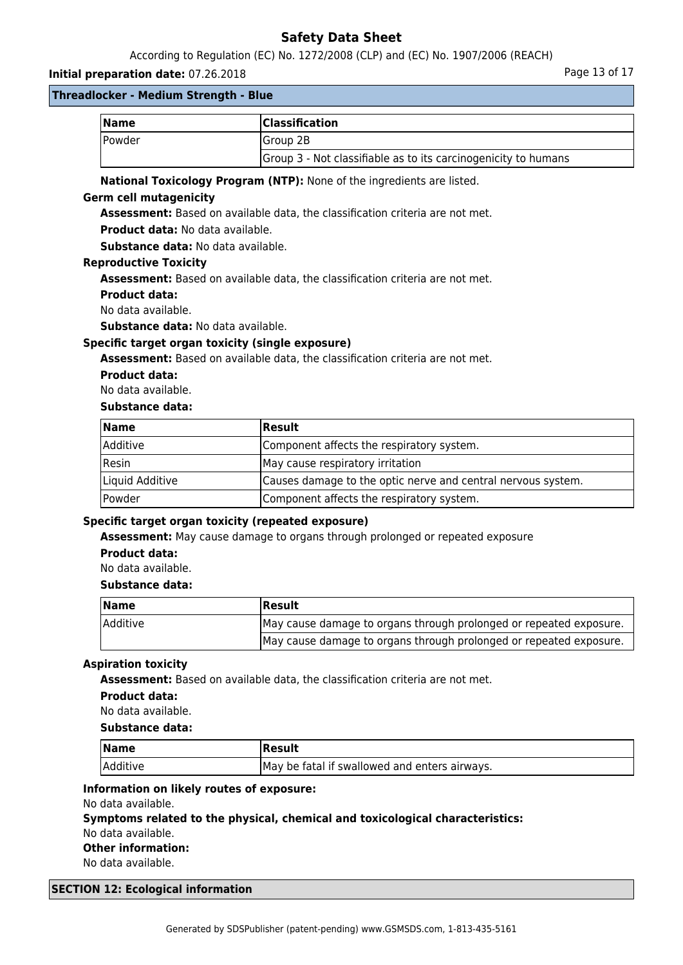According to Regulation (EC) No. 1272/2008 (CLP) and (EC) No. 1907/2006 (REACH)

## **Initial preparation date:** 07.26.2018 **Page 13 of 17** Page 13 of 17

#### **Threadlocker - Medium Strength - Blue**

| Name           | <b>Classification</b>                                          |
|----------------|----------------------------------------------------------------|
| <b>IPowder</b> | lGroup 2B                                                      |
|                | Group 3 - Not classifiable as to its carcinogenicity to humans |

### **National Toxicology Program (NTP):** None of the ingredients are listed.

#### **Germ cell mutagenicity**

**Assessment:** Based on available data, the classification criteria are not met.

**Product data:** No data available.

**Substance data:** No data available.

#### **Reproductive Toxicity**

**Assessment:** Based on available data, the classification criteria are not met.

#### **Product data:**

No data available.

**Substance data:** No data available.

#### **Specific target organ toxicity (single exposure)**

**Assessment:** Based on available data, the classification criteria are not met.

#### **Product data:**

No data available.

## **Substance data:**

| Name            | <b>Result</b>                                                |
|-----------------|--------------------------------------------------------------|
| <i>Additive</i> | Component affects the respiratory system.                    |
| Resin           | May cause respiratory irritation                             |
| Liquid Additive | Causes damage to the optic nerve and central nervous system. |
| Powder          | Component affects the respiratory system.                    |

## **Specific target organ toxicity (repeated exposure)**

**Assessment:** May cause damage to organs through prolonged or repeated exposure

#### **Product data:**

No data available.

## **Substance data:**

| Name            | Result                                                             |
|-----------------|--------------------------------------------------------------------|
| <b>Additive</b> | May cause damage to organs through prolonged or repeated exposure. |
|                 | May cause damage to organs through prolonged or repeated exposure. |

## **Aspiration toxicity**

**Assessment:** Based on available data, the classification criteria are not met.

#### **Product data:**

No data available.

#### **Substance data:**

| $\vert$ Name | Result                                        |
|--------------|-----------------------------------------------|
| Additive     | May be fatal if swallowed and enters airways. |

#### **Information on likely routes of exposure:**

No data available.

## **Symptoms related to the physical, chemical and toxicological characteristics:**

No data available.

#### **Other information:**

No data available.

#### **SECTION 12: Ecological information**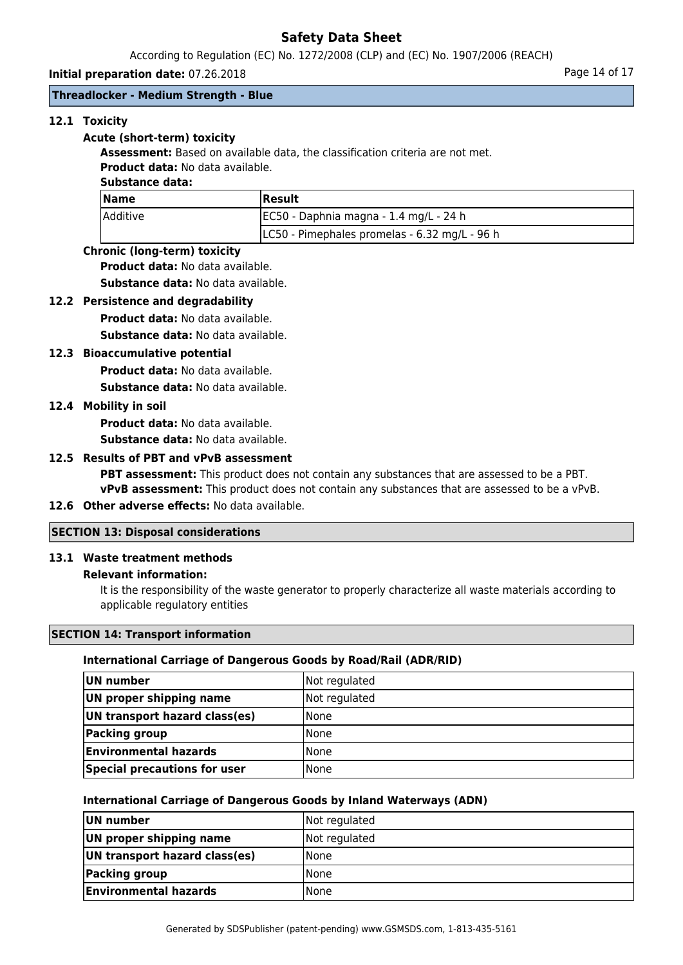According to Regulation (EC) No. 1272/2008 (CLP) and (EC) No. 1907/2006 (REACH)

**Initial preparation date:** 07.26.2018 **Page 14 of 17** Page 14 of 17

## **Threadlocker - Medium Strength - Blue**

## **12.1 Toxicity**

#### **Acute (short-term) toxicity**

**Assessment:** Based on available data, the classification criteria are not met. **Product data:** No data available.

### **Substance data:**

| <b>Name</b>     | <b>IResult</b>                                |  |
|-----------------|-----------------------------------------------|--|
| <i>Additive</i> | JEC50 - Daphnia magna - 1.4 mg/L - 24 h       |  |
|                 | LC50 - Pimephales promelas - 6.32 mg/L - 96 h |  |

#### **Chronic (long-term) toxicity**

**Product data:** No data available.

**Substance data:** No data available.

#### **12.2 Persistence and degradability**

**Product data:** No data available.

**Substance data:** No data available.

## **12.3 Bioaccumulative potential**

**Product data:** No data available.

**Substance data:** No data available.

#### **12.4 Mobility in soil**

**Product data:** No data available.

**Substance data:** No data available.

## **12.5 Results of PBT and vPvB assessment**

**PBT assessment:** This product does not contain any substances that are assessed to be a PBT. **vPvB assessment:** This product does not contain any substances that are assessed to be a vPvB.

## **12.6 Other adverse effects:** No data available.

## **SECTION 13: Disposal considerations**

## **13.1 Waste treatment methods**

#### **Relevant information:**

It is the responsibility of the waste generator to properly characterize all waste materials according to applicable regulatory entities

### **SECTION 14: Transport information**

## **International Carriage of Dangerous Goods by Road/Rail (ADR/RID)**

| UN number                           | Not regulated |
|-------------------------------------|---------------|
| UN proper shipping name             | Not regulated |
| UN transport hazard class(es)       | None          |
| Packing group                       | None          |
| <b>Environmental hazards</b>        | None          |
| <b>Special precautions for user</b> | None          |

#### **International Carriage of Dangerous Goods by Inland Waterways (ADN)**

| UN number                     | Not regulated |
|-------------------------------|---------------|
| UN proper shipping name       | Not regulated |
| UN transport hazard class(es) | <b>None</b>   |
| Packing group                 | l None        |
| <b>Environmental hazards</b>  | l None        |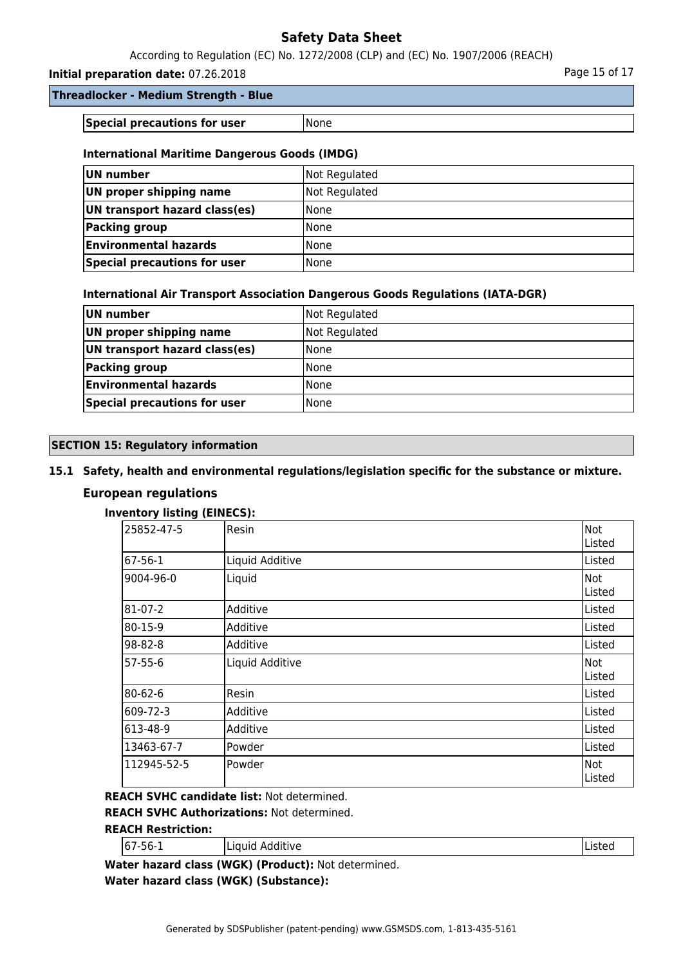According to Regulation (EC) No. 1272/2008 (CLP) and (EC) No. 1907/2006 (REACH)

**Initial preparation date:** 07.26.2018 **Page 15 of 17** Page 15 of 17

**Special precautions for user** None

## **International Maritime Dangerous Goods (IMDG)**

| UN number                     | Not Regulated |
|-------------------------------|---------------|
| UN proper shipping name       | Not Regulated |
| UN transport hazard class(es) | <b>None</b>   |
| Packing group                 | <b>None</b>   |
| <b>Environmental hazards</b>  | <b>None</b>   |
| Special precautions for user  | l None        |

## **International Air Transport Association Dangerous Goods Regulations (IATA-DGR)**

| UN number                     | Not Regulated |
|-------------------------------|---------------|
| UN proper shipping name       | Not Regulated |
| UN transport hazard class(es) | None          |
| <b>Packing group</b>          | None          |
| <b>Environmental hazards</b>  | l None        |
| Special precautions for user  | l None        |

## **SECTION 15: Regulatory information**

## **15.1 Safety, health and environmental regulations/legislation specific for the substance or mixture.**

## **European regulations**

## **Inventory listing (EINECS):**

| 25852-47-5  | Resin           | <b>Not</b><br>Listed |
|-------------|-----------------|----------------------|
| 67-56-1     | Liquid Additive | Listed               |
| 9004-96-0   | Liquid          | Not<br>Listed        |
| 81-07-2     | Additive        | Listed               |
| 80-15-9     | Additive        | Listed               |
| 98-82-8     | Additive        | Listed               |
| 57-55-6     | Liquid Additive | Not<br>Listed        |
| 80-62-6     | Resin           | Listed               |
| 609-72-3    | Additive        | Listed               |
| 613-48-9    | Additive        | Listed               |
| 13463-67-7  | Powder          | Listed               |
| 112945-52-5 | Powder          | Not<br>Listed        |

**REACH SVHC candidate list:** Not determined.

**REACH SVHC Authorizations:** Not determined.

## **REACH Restriction:**

| 67<br>---<br>ב-סכ-′ | .<br>Additive | .<br>.13 L C U |
|---------------------|---------------|----------------|
|---------------------|---------------|----------------|

**Water hazard class (WGK) (Product):** Not determined. **Water hazard class (WGK) (Substance):**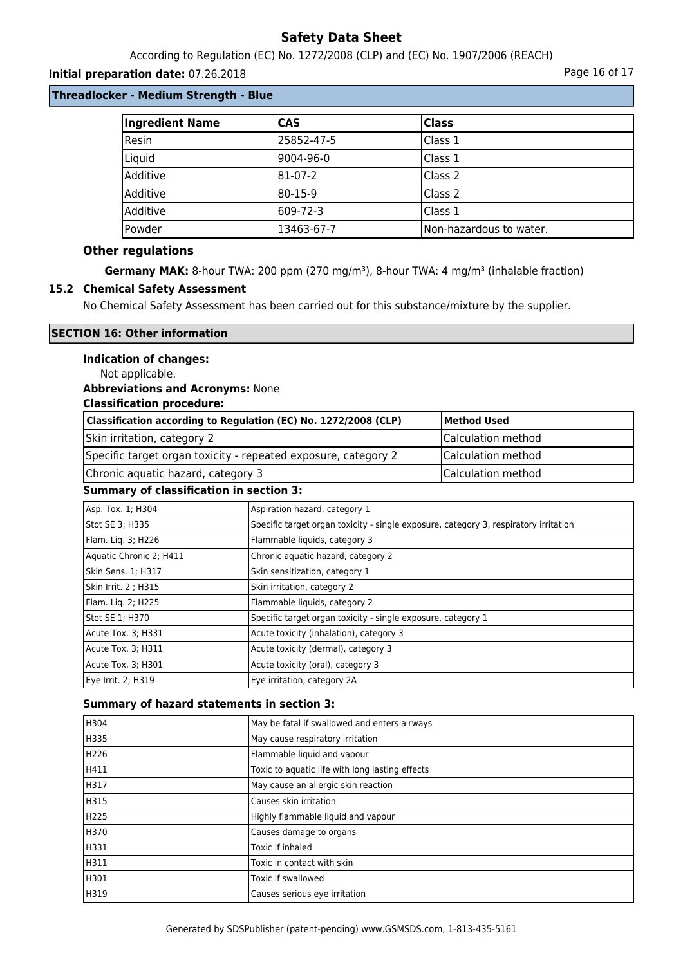According to Regulation (EC) No. 1272/2008 (CLP) and (EC) No. 1907/2006 (REACH)

## **Initial preparation date:** 07.26.2018 **Page 16 of 17 Page 16 of 17**

## **Threadlocker - Medium Strength - Blue**

| Ingredient Name | <b>CAS</b> | <b>Class</b>            |
|-----------------|------------|-------------------------|
| Resin           | 25852-47-5 | Class 1                 |
| Liquid          | l9004-96-0 | Class 1                 |
| Additive        | 81-07-2    | Class 2                 |
| Additive        | l80-15-9   | Class 2                 |
| Additive        | 609-72-3   | Class 1                 |
| Powder          | 13463-67-7 | Non-hazardous to water. |

#### **Other regulations**

Germany MAK: 8-hour TWA: 200 ppm (270 mg/m<sup>3</sup>), 8-hour TWA: 4 mg/m<sup>3</sup> (inhalable fraction)

#### **15.2 Chemical Safety Assessment**

No Chemical Safety Assessment has been carried out for this substance/mixture by the supplier.

## **SECTION 16: Other information**

## **Indication of changes:**

Not applicable.

#### **Abbreviations and Acronyms:** None

#### **Classification procedure:**

| Classification according to Regulation (EC) No. 1272/2008 (CLP) | Method Used        |
|-----------------------------------------------------------------|--------------------|
| Skin irritation, category 2                                     | Calculation method |
| Specific target organ toxicity - repeated exposure, category 2  | Calculation method |
| Chronic aquatic hazard, category 3                              | Calculation method |

#### **Summary of classification in section 3:**

| Asp. Tox. 1; H304       | Aspiration hazard, category 1                                                        |
|-------------------------|--------------------------------------------------------------------------------------|
| Stot SE 3; H335         | Specific target organ toxicity - single exposure, category 3, respiratory irritation |
| Flam. Lig. 3; H226      | Flammable liquids, category 3                                                        |
| Aquatic Chronic 2; H411 | Chronic aquatic hazard, category 2                                                   |
| Skin Sens. 1; H317      | Skin sensitization, category 1                                                       |
| Skin Irrit. 2 ; H315    | Skin irritation, category 2                                                          |
| Flam. Liq. 2; H225      | Flammable liquids, category 2                                                        |
| Stot SE 1; H370         | Specific target organ toxicity - single exposure, category 1                         |
| Acute Tox. 3; H331      | Acute toxicity (inhalation), category 3                                              |
| Acute Tox. 3; H311      | Acute toxicity (dermal), category 3                                                  |
| Acute Tox. 3; H301      | Acute toxicity (oral), category 3                                                    |
| Eye Irrit. 2; H319      | Eve irritation, category 2A                                                          |

#### **Summary of hazard statements in section 3:**

| H304 | May be fatal if swallowed and enters airways    |
|------|-------------------------------------------------|
| H335 | May cause respiratory irritation                |
| H226 | Flammable liquid and vapour                     |
| H411 | Toxic to aquatic life with long lasting effects |
| H317 | May cause an allergic skin reaction             |
| H315 | Causes skin irritation                          |
| H225 | Highly flammable liquid and vapour              |
| H370 | Causes damage to organs                         |
| H331 | Toxic if inhaled                                |
| H311 | Toxic in contact with skin                      |
| H301 | Toxic if swallowed                              |
| H319 | Causes serious eye irritation                   |